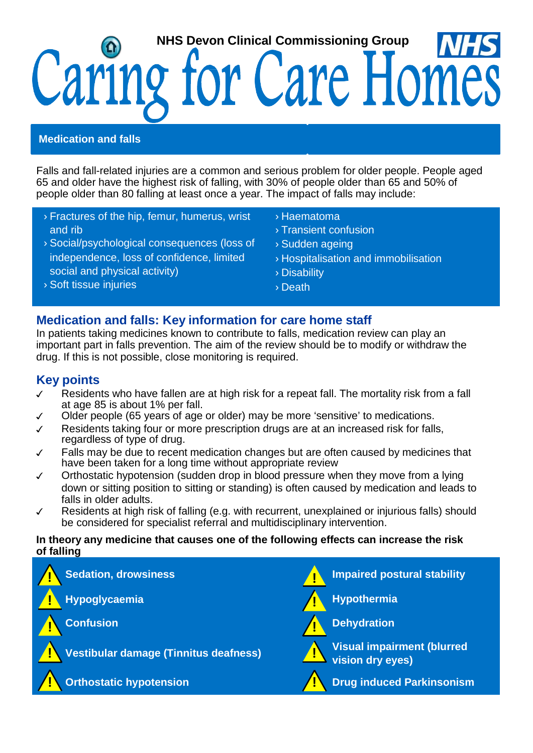# **NHS Devon Clinical Commissioning Group** Caring for Care Home

### **Medication and falls**

Falls and fall-related injuries are a common and serious problem for older people. People aged 65 and older have the highest risk of falling, with 30% of people older than 65 and 50% of people older than 80 falling at least once a year. The impact of falls may include:

- ›Fractures of the hip, femur, humerus, wrist and rib
- ›Social/psychological consequences (loss of independence, loss of confidence, limited social and physical activity)
- ›Haematoma
- ›Transient confusion
- ›Sudden ageing
- ›Hospitalisation and immobilisation
- ›Disability
- ›Death

#### ›Soft tissue injuries

## **Medication and falls: Key information for care home staff**

In patients taking medicines known to contribute to falls, medication review can play an important part in falls prevention. The aim of the review should be to modify or withdraw the drug. If this is not possible, close monitoring is required.

## **Key points**

- ✓ Residents who have fallen are at high risk for a repeat fall. The mortality risk from a fall at age 85 is about 1% per fall.
- ✓ Older people (65 years of age or older) may be more 'sensitive' to medications.
- ✓ Residents taking four or more prescription drugs are at an increased risk for falls, regardless of type of drug.
- ✓ Falls may be due to recent medication changes but are often caused by medicines that have been taken for a long time without appropriate review
- ✓ Orthostatic hypotension (sudden drop in blood pressure when they move from a lying down or sitting position to sitting or standing) is often caused by medication and leads to falls in older adults.
- ✓ Residents at high risk of falling (e.g. with recurrent, unexplained or injurious falls) should be considered for specialist referral and multidisciplinary intervention.

#### **In theory any medicine that causes one of the following effects can increase the risk of falling**